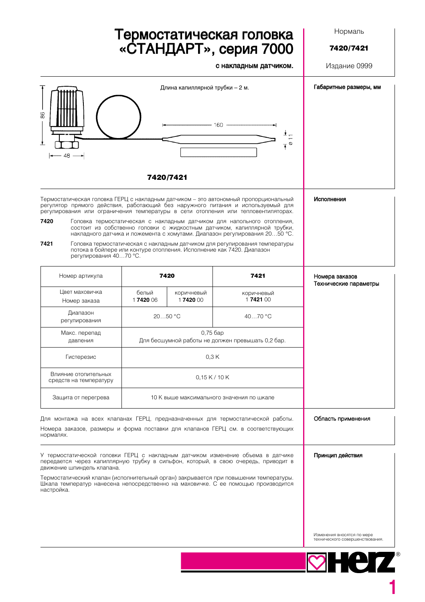## Термостатическая головка<br>«СТАНДАРТ», серия 7000

с накладным датчиком.

Нормаль

7420/7421

Издание 0999

| 86                                                                                                                                                                                                                                                           | Длина капиллярной трубки - 2 м.<br>- 160 -<br>−≠<br>∽⊤ |                                                                       |                                                                                                                                                                                                                                   | Габаритные размеры, мм                                        |  |
|--------------------------------------------------------------------------------------------------------------------------------------------------------------------------------------------------------------------------------------------------------------|--------------------------------------------------------|-----------------------------------------------------------------------|-----------------------------------------------------------------------------------------------------------------------------------------------------------------------------------------------------------------------------------|---------------------------------------------------------------|--|
| ±<br>48                                                                                                                                                                                                                                                      |                                                        |                                                                       |                                                                                                                                                                                                                                   |                                                               |  |
|                                                                                                                                                                                                                                                              | 7420/7421                                              |                                                                       |                                                                                                                                                                                                                                   |                                                               |  |
| Термостатическая головка ГЕРЦ с накладным датчиком – это автономный пропорциональный<br>регулятор прямого действия, работающий без наружного питания и используемый для<br>регулирования или ограничения температуры в сети отопления или тепловентиляторах. |                                                        |                                                                       |                                                                                                                                                                                                                                   | Исполнения                                                    |  |
| 7420                                                                                                                                                                                                                                                         |                                                        |                                                                       | Головка термостатическая с накладным датчиком для напольного отопления,<br>состоит из собственно головки с жидкостным датчиком, капиллярной трубки,<br>накладного датчика и ложемента с хомутами. Диапазон регулирования 2050 °С. |                                                               |  |
| 7421<br>регулирования 4070 °С.                                                                                                                                                                                                                               |                                                        | потока в бойлере или контуре отопления. Исполнение как 7420. Диапазон | Головка термостатическая с накладным датчиком для регулирования температуры                                                                                                                                                       |                                                               |  |
| Номер артикула                                                                                                                                                                                                                                               | 7420                                                   |                                                                       | 7421                                                                                                                                                                                                                              | Номера заказов<br>Технические параметры                       |  |
| Цвет маховичка<br>Номер заказа                                                                                                                                                                                                                               | белый<br>1742006                                       | коричневый<br>1742000                                                 | коричневый<br>1742100                                                                                                                                                                                                             |                                                               |  |
| Диапазон<br>регулирования                                                                                                                                                                                                                                    | $2050$ °C                                              |                                                                       | 4070 °C                                                                                                                                                                                                                           |                                                               |  |
| Макс. перепад<br>давления                                                                                                                                                                                                                                    |                                                        | 0,75 бар<br>Для бесшумной работы не должен превышать 0,2 бар.         |                                                                                                                                                                                                                                   |                                                               |  |
| Гистерезис                                                                                                                                                                                                                                                   | 0.3K                                                   |                                                                       |                                                                                                                                                                                                                                   |                                                               |  |
| Влияние отопительных<br>средств на температуру                                                                                                                                                                                                               |                                                        | 0,15 K/10 K                                                           |                                                                                                                                                                                                                                   |                                                               |  |
| Защита от перегрева                                                                                                                                                                                                                                          |                                                        | 10 К выше максимального значения по шкале                             |                                                                                                                                                                                                                                   |                                                               |  |
| Для монтажа на всех клапанах ГЕРЦ, предназначенных для термостатической работы.<br>Номера заказов, размеры и форма поставки для клапанов ГЕРЦ см. в соответствующих<br>нормалях.                                                                             |                                                        |                                                                       |                                                                                                                                                                                                                                   | Область применения                                            |  |
| У термостатической головки ГЕРЦ с накладным датчиком изменение объема в датчике<br>передается через капиллярную трубку в сильфон, который, в свою очередь, приводит в<br>движение шпиндель клапана.                                                          |                                                        |                                                                       |                                                                                                                                                                                                                                   | Принцип действия                                              |  |
| Термостатический клапан (исполнительный орган) закрывается при повышении температуры.<br>Шкала температур нанесена непосредственно на маховичке. С ее помощью производится<br>настройка.                                                                     |                                                        |                                                                       |                                                                                                                                                                                                                                   |                                                               |  |
|                                                                                                                                                                                                                                                              |                                                        |                                                                       |                                                                                                                                                                                                                                   | Изменения вносятся по мере<br>технического совершенствования. |  |
|                                                                                                                                                                                                                                                              |                                                        |                                                                       |                                                                                                                                                                                                                                   | HOTZ                                                          |  |